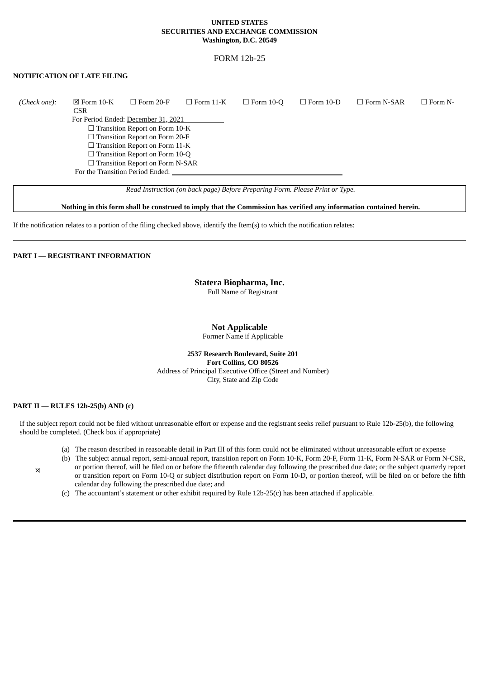#### **UNITED STATES SECURITIES AND EXCHANGE COMMISSION Washington, D.C. 20549**

# FORM 12b-25

# **NOTIFICATION OF LATE FILING**

| (Check one): | $\boxtimes$ Form 10-K<br><b>CSR</b> | $\Box$ Form 20-F                       | $\Box$ Form 11-K | $\Box$ Form 10-Q | $\Box$ Form 10-D | $\Box$ Form N-SAR | $\Box$ Form N- |
|--------------|-------------------------------------|----------------------------------------|------------------|------------------|------------------|-------------------|----------------|
|              |                                     | For Period Ended: December 31, 2021    |                  |                  |                  |                   |                |
|              |                                     | $\Box$ Transition Report on Form 10-K  |                  |                  |                  |                   |                |
|              |                                     | $\Box$ Transition Report on Form 20-F  |                  |                  |                  |                   |                |
|              |                                     | $\Box$ Transition Report on Form 11-K  |                  |                  |                  |                   |                |
|              |                                     | $\Box$ Transition Report on Form 10-Q  |                  |                  |                  |                   |                |
|              |                                     | $\Box$ Transition Report on Form N-SAR |                  |                  |                  |                   |                |
|              |                                     | For the Transition Period Ended:       |                  |                  |                  |                   |                |
|              |                                     |                                        |                  |                  |                  |                   |                |

*Read Instruction (on back page) Before Preparing Form. Please Print or Type.*

Nothing in this form shall be construed to imply that the Commission has verified any information contained herein.

If the notification relates to a portion of the filing checked above, identify the Item(s) to which the notification relates:

## **PART I** — **REGISTRANT INFORMATION**

# **Statera Biopharma, Inc.**

Full Name of Registrant

## **Not Applicable**

Former Name if Applicable

**2537 Research Boulevard, Suite 201 Fort Collins, CO 80526** Address of Principal Executive Office (Street and Number) City, State and Zip Code

## **PART II** — **RULES 12b-25(b) AND (c)**

If the subject report could not be filed without unreasonable effort or expense and the registrant seeks relief pursuant to Rule 12b-25(b), the following should be completed. (Check box if appropriate)

- (a) The reason described in reasonable detail in Part III of this form could not be eliminated without unreasonable effort or expense
- (b) The subject annual report, semi-annual report, transition report on Form 10-K, Form 20-F, Form 11-K, Form N-SAR or Form N-CSR,
- or portion thereof, will be filed on or before the fifteenth calendar day following the prescribed due date; or the subject quarterly report or transition report on Form 10-Q or subject distribution report on Form 10-D, or portion thereof, will be filed on or before the fifth calendar day following the prescribed due date; and
- (c) The accountant's statement or other exhibit required by Rule 12b-25(c) has been attached if applicable.

☒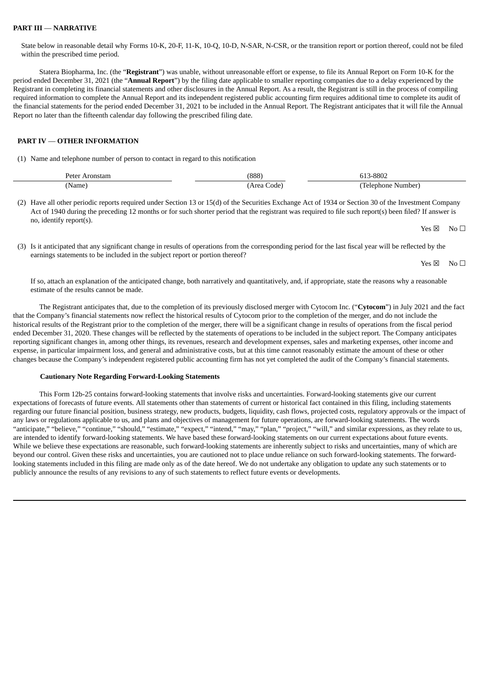#### **PART III** — **NARRATIVE**

State below in reasonable detail why Forms 10-K, 20-F, 11-K, 10-Q, 10-D, N-SAR, N-CSR, or the transition report or portion thereof, could not be filed within the prescribed time period.

Statera Biopharma, Inc. (the "**Registrant**") was unable, without unreasonable effort or expense, to file its Annual Report on Form 10-K for the period ended December 31, 2021 (the "**Annual Report**") by the filing date applicable to smaller reporting companies due to a delay experienced by the Registrant in completing its financial statements and other disclosures in the Annual Report. As a result, the Registrant is still in the process of compiling required information to complete the Annual Report and its independent registered public accounting firm requires additional time to complete its audit of the financial statements for the period ended December 31, 2021 to be included in the Annual Report. The Registrant anticipates that it will file the Annual Report no later than the fifteenth calendar day following the prescribed filing date.

# **PART IV** — **OTHER INFORMATION**

(1) Name and telephone number of person to contact in regard to this notification

| Peter<br>Aronstam | (888)        | 3-8802<br><b></b>   |
|-------------------|--------------|---------------------|
| Name              | Area<br>code | Telephone<br>Number |

(2) Have all other periodic reports required under Section 13 or 15(d) of the Securities Exchange Act of 1934 or Section 30 of the Investment Company Act of 1940 during the preceding 12 months or for such shorter period that the registrant was required to file such report(s) been filed? If answer is no, identify report(s).

 $Yes \boxtimes \cong No \square$ 

(3) Is it anticipated that any significant change in results of operations from the corresponding period for the last fiscal year will be reflected by the earnings statements to be included in the subject report or portion thereof?

 $Yes \boxtimes \cong No \square$ 

If so, attach an explanation of the anticipated change, both narratively and quantitatively, and, if appropriate, state the reasons why a reasonable estimate of the results cannot be made.

The Registrant anticipates that, due to the completion of its previously disclosed merger with Cytocom Inc. ("**Cytocom**") in July 2021 and the fact that the Company's financial statements now reflect the historical results of Cytocom prior to the completion of the merger, and do not include the historical results of the Registrant prior to the completion of the merger, there will be a significant change in results of operations from the fiscal period ended December 31, 2020. These changes will be reflected by the statements of operations to be included in the subject report. The Company anticipates reporting significant changes in, among other things, its revenues, research and development expenses, sales and marketing expenses, other income and expense, in particular impairment loss, and general and administrative costs, but at this time cannot reasonably estimate the amount of these or other changes because the Company's independent registered public accounting firm has not yet completed the audit of the Company's financial statements.

#### **Cautionary Note Regarding Forward-Looking Statements**

This Form 12b-25 contains forward-looking statements that involve risks and uncertainties. Forward-looking statements give our current expectations of forecasts of future events. All statements other than statements of current or historical fact contained in this filing, including statements regarding our future financial position, business strategy, new products, budgets, liquidity, cash flows, projected costs, regulatory approvals or the impact of any laws or regulations applicable to us, and plans and objectives of management for future operations, are forward-looking statements. The words "anticipate," "believe," "continue," "should," "estimate," "expect," "intend," "may," "plan," "project," "will," and similar expressions, as they relate to us, are intended to identify forward-looking statements. We have based these forward-looking statements on our current expectations about future events. While we believe these expectations are reasonable, such forward-looking statements are inherently subject to risks and uncertainties, many of which are beyond our control. Given these risks and uncertainties, you are cautioned not to place undue reliance on such forward-looking statements. The forwardlooking statements included in this filing are made only as of the date hereof. We do not undertake any obligation to update any such statements or to publicly announce the results of any revisions to any of such statements to reflect future events or developments.